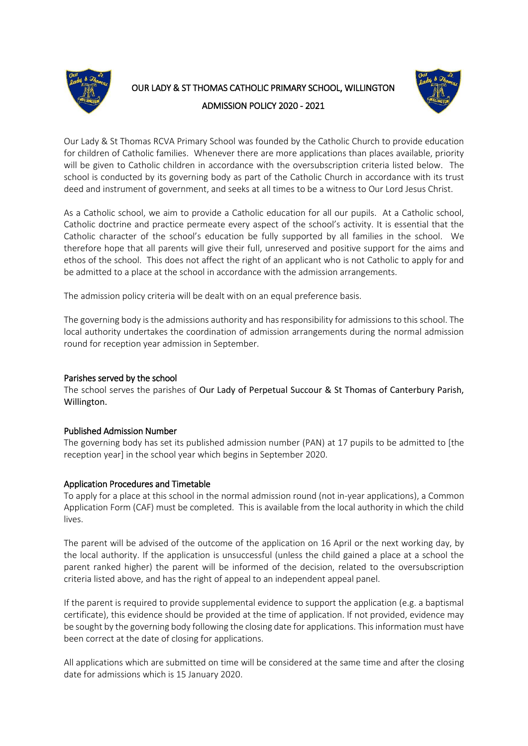

# OUR LADY & ST THOMAS CATHOLIC PRIMARY SCHOOL, WILLINGTON ADMISSION POLICY 2020 - 2021



Our Lady & St Thomas RCVA Primary School was founded by the Catholic Church to provide education for children of Catholic families. Whenever there are more applications than places available, priority will be given to Catholic children in accordance with the oversubscription criteria listed below. The school is conducted by its governing body as part of the Catholic Church in accordance with its trust deed and instrument of government, and seeks at all times to be a witness to Our Lord Jesus Christ.

As a Catholic school, we aim to provide a Catholic education for all our pupils. At a Catholic school, Catholic doctrine and practice permeate every aspect of the school's activity. It is essential that the Catholic character of the school's education be fully supported by all families in the school. We therefore hope that all parents will give their full, unreserved and positive support for the aims and ethos of the school. This does not affect the right of an applicant who is not Catholic to apply for and be admitted to a place at the school in accordance with the admission arrangements.

The admission policy criteria will be dealt with on an equal preference basis.

The governing body is the admissions authority and has responsibility for admissions to this school. The local authority undertakes the coordination of admission arrangements during the normal admission round for reception year admission in September.

## Parishes served by the school

The school serves the parishes of Our Lady of Perpetual Succour & St Thomas of Canterbury Parish, Willington.

### Published Admission Number

The governing body has set its published admission number (PAN) at 17 pupils to be admitted to [the reception year] in the school year which begins in September 2020.

### Application Procedures and Timetable

To apply for a place at this school in the normal admission round (not in-year applications), a Common Application Form (CAF) must be completed. This is available from the local authority in which the child lives.

The parent will be advised of the outcome of the application on 16 April or the next working day, by the local authority. If the application is unsuccessful (unless the child gained a place at a school the parent ranked higher) the parent will be informed of the decision, related to the oversubscription criteria listed above, and has the right of appeal to an independent appeal panel.

If the parent is required to provide supplemental evidence to support the application (e.g. a baptismal certificate), this evidence should be provided at the time of application. If not provided, evidence may be sought by the governing body following the closing date for applications. This information must have been correct at the date of closing for applications.

All applications which are submitted on time will be considered at the same time and after the closing date for admissions which is 15 January 2020.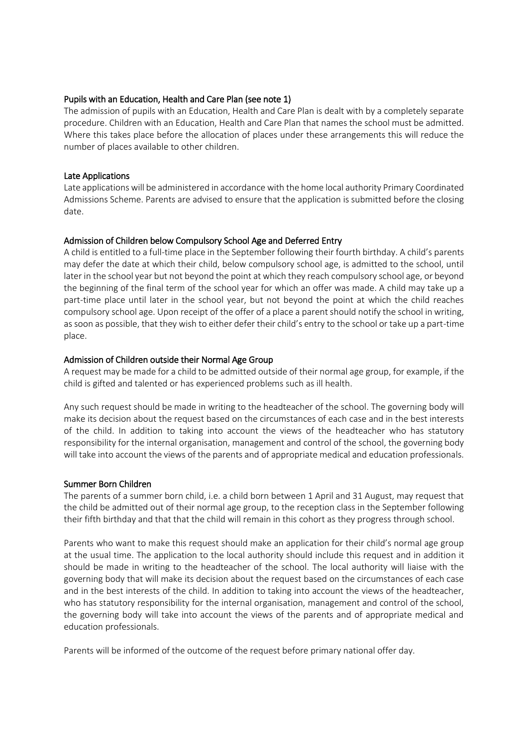### Pupils with an Education, Health and Care Plan (see note 1)

The admission of pupils with an Education, Health and Care Plan is dealt with by a completely separate procedure. Children with an Education, Health and Care Plan that names the school must be admitted. Where this takes place before the allocation of places under these arrangements this will reduce the number of places available to other children.

#### Late Applications

Late applications will be administered in accordance with the home local authority Primary Coordinated Admissions Scheme. Parents are advised to ensure that the application is submitted before the closing date.

### Admission of Children below Compulsory School Age and Deferred Entry

A child is entitled to a full-time place in the September following their fourth birthday. A child's parents may defer the date at which their child, below compulsory school age, is admitted to the school, until later in the school year but not beyond the point at which they reach compulsory school age, or beyond the beginning of the final term of the school year for which an offer was made. A child may take up a part-time place until later in the school year, but not beyond the point at which the child reaches compulsory school age. Upon receipt of the offer of a place a parent should notify the school in writing, as soon as possible, that they wish to either defer their child's entry to the school or take up a part-time place.

### Admission of Children outside their Normal Age Group

A request may be made for a child to be admitted outside of their normal age group, for example, if the child is gifted and talented or has experienced problems such as ill health.

Any such request should be made in writing to the headteacher of the school. The governing body will make its decision about the request based on the circumstances of each case and in the best interests of the child. In addition to taking into account the views of the headteacher who has statutory responsibility for the internal organisation, management and control of the school, the governing body will take into account the views of the parents and of appropriate medical and education professionals.

### Summer Born Children

The parents of a summer born child, i.e. a child born between 1 April and 31 August, may request that the child be admitted out of their normal age group, to the reception class in the September following their fifth birthday and that that the child will remain in this cohort as they progress through school.

Parents who want to make this request should make an application for their child's normal age group at the usual time. The application to the local authority should include this request and in addition it should be made in writing to the headteacher of the school. The local authority will liaise with the governing body that will make its decision about the request based on the circumstances of each case and in the best interests of the child. In addition to taking into account the views of the headteacher, who has statutory responsibility for the internal organisation, management and control of the school, the governing body will take into account the views of the parents and of appropriate medical and education professionals.

Parents will be informed of the outcome of the request before primary national offer day.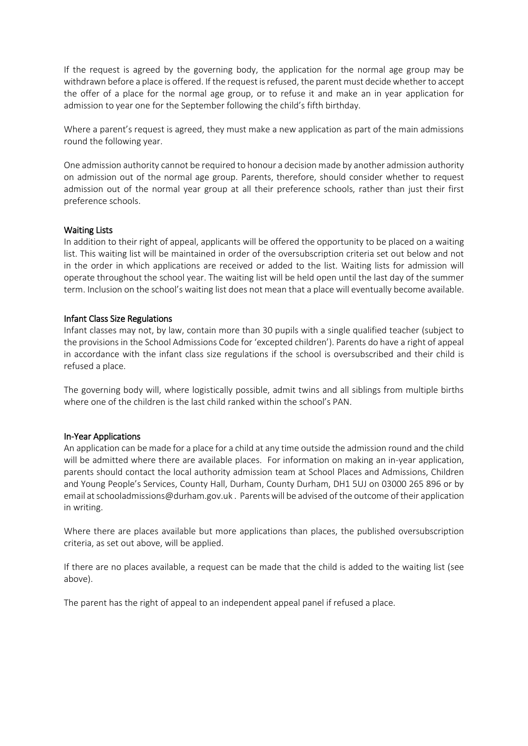If the request is agreed by the governing body, the application for the normal age group may be withdrawn before a place is offered. If the request is refused, the parent must decide whether to accept the offer of a place for the normal age group, or to refuse it and make an in year application for admission to year one for the September following the child's fifth birthday.

Where a parent's request is agreed, they must make a new application as part of the main admissions round the following year.

One admission authority cannot be required to honour a decision made by another admission authority on admission out of the normal age group. Parents, therefore, should consider whether to request admission out of the normal year group at all their preference schools, rather than just their first preference schools.

### Waiting Lists

In addition to their right of appeal, applicants will be offered the opportunity to be placed on a waiting list. This waiting list will be maintained in order of the oversubscription criteria set out below and not in the order in which applications are received or added to the list. Waiting lists for admission will operate throughout the school year. The waiting list will be held open until the last day of the summer term. Inclusion on the school's waiting list does not mean that a place will eventually become available.

#### Infant Class Size Regulations

Infant classes may not, by law, contain more than 30 pupils with a single qualified teacher (subject to the provisions in the School Admissions Code for 'excepted children'). Parents do have a right of appeal in accordance with the infant class size regulations if the school is oversubscribed and their child is refused a place.

The governing body will, where logistically possible, admit twins and all siblings from multiple births where one of the children is the last child ranked within the school's PAN.

#### In-Year Applications

An application can be made for a place for a child at any time outside the admission round and the child will be admitted where there are available places. For information on making an in-year application, parents should contact the local authority admission team at School Places and Admissions, Children and Young People's Services, County Hall, Durham, County Durham, DH1 5UJ on 03000 265 896 or by email at schooladmissions@durham.gov.uk . Parents will be advised of the outcome of their application in writing.

Where there are places available but more applications than places, the published oversubscription criteria, as set out above, will be applied.

If there are no places available, a request can be made that the child is added to the waiting list (see above).

The parent has the right of appeal to an independent appeal panel if refused a place.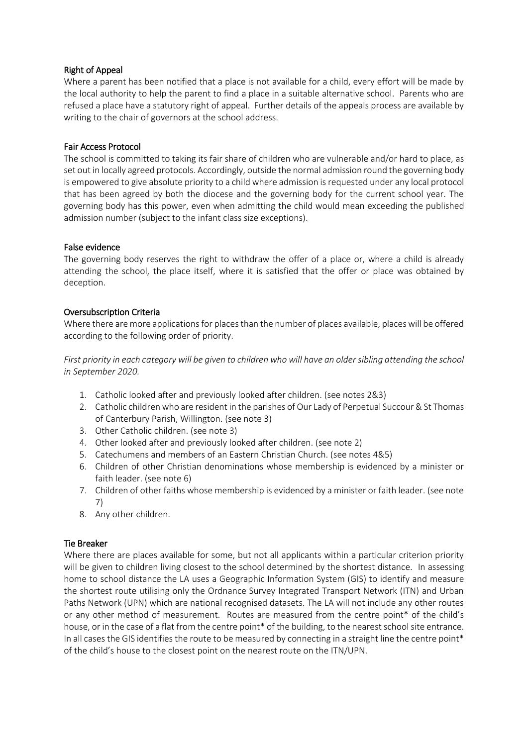## Right of Appeal

Where a parent has been notified that a place is not available for a child, every effort will be made by the local authority to help the parent to find a place in a suitable alternative school. Parents who are refused a place have a statutory right of appeal. Further details of the appeals process are available by writing to the chair of governors at the school address.

## Fair Access Protocol

The school is committed to taking its fair share of children who are vulnerable and/or hard to place, as set out in locally agreed protocols. Accordingly, outside the normal admission round the governing body is empowered to give absolute priority to a child where admission is requested under any local protocol that has been agreed by both the diocese and the governing body for the current school year. The governing body has this power, even when admitting the child would mean exceeding the published admission number (subject to the infant class size exceptions).

## False evidence

The governing body reserves the right to withdraw the offer of a place or, where a child is already attending the school, the place itself, where it is satisfied that the offer or place was obtained by deception.

## Oversubscription Criteria

Where there are more applications for places than the number of places available, places will be offered according to the following order of priority.

*First priority in each category will be given to children who will have an older sibling attending the school in September 2020.*

- 1. Catholic looked after and previously looked after children. (see notes 2&3)
- 2. Catholic children who are resident in the parishes of Our Lady of Perpetual Succour & St Thomas of Canterbury Parish, Willington. (see note 3)
- 3. Other Catholic children. (see note 3)
- 4. Other looked after and previously looked after children. (see note 2)
- 5. Catechumens and members of an Eastern Christian Church. (see notes 4&5)
- 6. Children of other Christian denominations whose membership is evidenced by a minister or faith leader. (see note 6)
- 7. Children of other faiths whose membership is evidenced by a minister or faith leader. (see note 7)
- 8. Any other children.

## Tie Breaker

Where there are places available for some, but not all applicants within a particular criterion priority will be given to children living closest to the school determined by the shortest distance. In assessing home to school distance the LA uses a Geographic Information System (GIS) to identify and measure the shortest route utilising only the Ordnance Survey Integrated Transport Network (ITN) and Urban Paths Network (UPN) which are national recognised datasets. The LA will not include any other routes or any other method of measurement. Routes are measured from the centre point\* of the child's house, or in the case of a flat from the centre point\* of the building, to the nearest school site entrance. In all cases the GIS identifies the route to be measured by connecting in a straight line the centre point\* of the child's house to the closest point on the nearest route on the ITN/UPN.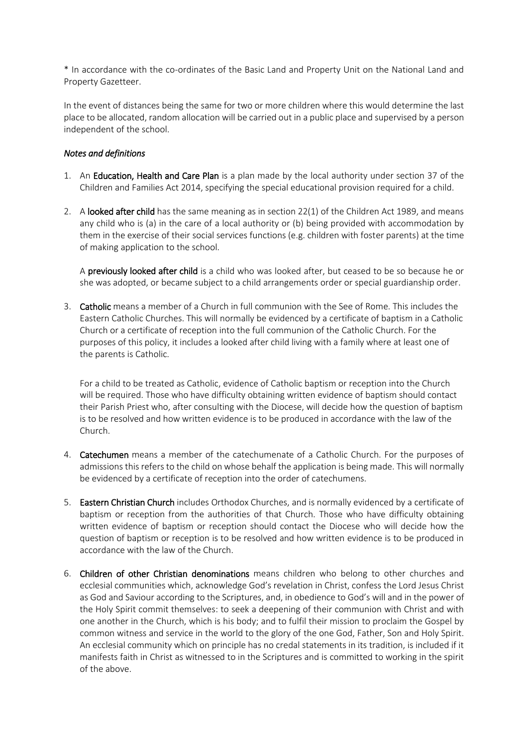\* In accordance with the co-ordinates of the Basic Land and Property Unit on the National Land and Property Gazetteer.

In the event of distances being the same for two or more children where this would determine the last place to be allocated, random allocation will be carried out in a public place and supervised by a person independent of the school.

## *Notes and definitions*

- 1. An Education, Health and Care Plan is a plan made by the local authority under section 37 of the Children and Families Act 2014, specifying the special educational provision required for a child.
- 2. A looked after child has the same meaning as in section 22(1) of the Children Act 1989, and means any child who is (a) in the care of a local authority or (b) being provided with accommodation by them in the exercise of their social services functions (e.g. children with foster parents) at the time of making application to the school.

A previously looked after child is a child who was looked after, but ceased to be so because he or she was adopted, or became subject to a child arrangements order or special guardianship order.

3. Catholic means a member of a Church in full communion with the See of Rome. This includes the Eastern Catholic Churches. This will normally be evidenced by a certificate of baptism in a Catholic Church or a certificate of reception into the full communion of the Catholic Church. For the purposes of this policy, it includes a looked after child living with a family where at least one of the parents is Catholic.

For a child to be treated as Catholic, evidence of Catholic baptism or reception into the Church will be required. Those who have difficulty obtaining written evidence of baptism should contact their Parish Priest who, after consulting with the Diocese, will decide how the question of baptism is to be resolved and how written evidence is to be produced in accordance with the law of the Church.

- 4. Catechumen means a member of the catechumenate of a Catholic Church. For the purposes of admissions this refers to the child on whose behalf the application is being made. This will normally be evidenced by a certificate of reception into the order of catechumens.
- 5. Eastern Christian Church includes Orthodox Churches, and is normally evidenced by a certificate of baptism or reception from the authorities of that Church. Those who have difficulty obtaining written evidence of baptism or reception should contact the Diocese who will decide how the question of baptism or reception is to be resolved and how written evidence is to be produced in accordance with the law of the Church.
- 6. Children of other Christian denominations means children who belong to other churches and ecclesial communities which, acknowledge God's revelation in Christ, confess the Lord Jesus Christ as God and Saviour according to the Scriptures, and, in obedience to God's will and in the power of the Holy Spirit commit themselves: to seek a deepening of their communion with Christ and with one another in the Church, which is his body; and to fulfil their mission to proclaim the Gospel by common witness and service in the world to the glory of the one God, Father, Son and Holy Spirit. An ecclesial community which on principle has no credal statements in its tradition, is included if it manifests faith in Christ as witnessed to in the Scriptures and is committed to working in the spirit of the above.